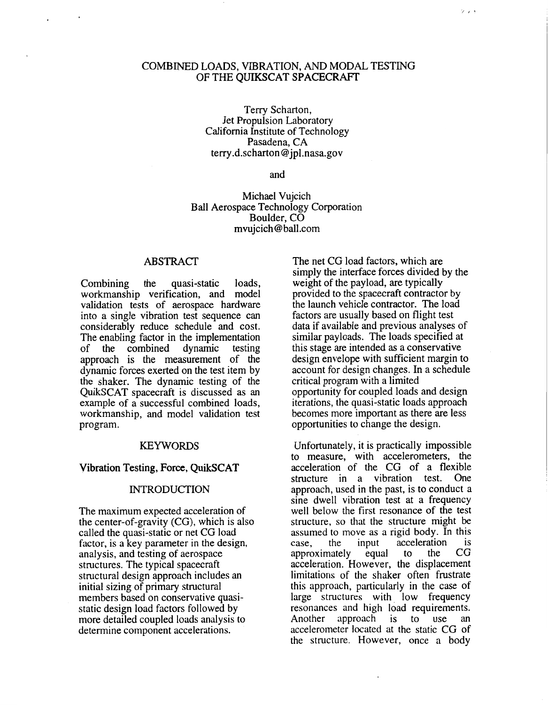## COMBINED LOADS, VIBRATION, AND MODAL TESTING OF THE QUIKSCAT SPACECRAFT

Terry Scharton, Jet Propulsion Laboratory California Institute of Technology Pasadena, CA [terry.d.scharton@jpl.nasa.gov](mailto:terry.d.scharton@jpl.nasa.gov)

and

## Michael Vujcich Ball Aerospace Technology Corporation Boulder, CO [mvujcich@ball.com](mailto:mvujcich@ball.com)

## ABSTRACT

Combining the quasi-static loads, workmanship verification, and model validation tests of aerospace hardware into a single vibration test sequence can considerably reduce schedule and cost. The enabling factor in the implementation<br>of the combined dynamic testing of the combined dynamic approach is the measurement of the dynamic forces exerted on the test item by the shaker. The dynamic testing of the QuikSCAT spacecraft is discussed as an example of a successful combined loads, workmanship, and model validation test program.

### KEYWORDS

### Vibration Testing, Force, QuikSCAT

#### INTRODUCTION

The maximum expected acceleration of the center-of-gravity (CG), which is also called the quasi-static or net CG load factor, is a key parameter in the design, analysis, and testing of aerospace structures. The typical spacecraft structural design approach includes an initial sizing of primary structural members based on conservative quasistatic design load factors followed by more detailed coupled loads analysis to determine component accelerations.

The net CG load factors, which are simply the interface forces divided by the weight of the payload, are typically provided to the spacecraft contractor by the launch vehicle contractor. The load factors are usually based on flight test data if available and previous analyses of similar payloads. The loads specified at this stage are intended as a conservative design envelope with sufficient margin to account for design changes. In a schedule critical program with a limited opportunity for coupled loads and design iterations, the quasi-static loads approach becomes more important as there are less opportunities to change the design.

 $2.1$ 

Unfortunately, it is practically impossible to measure, with accelerometers, the acceleration of the CG of a flexible<br>structure in a vibration test. One structure in a vibration test. approach, used in the past, is to conduct a sine dwell vibration test at a frequency well below the first resonance of the test structure, so that the structure might be assumed to move as a rigid body. In this case, the input acceleration is case, the input<br>approximately equal approximately equal to the CG acceleration. However, the displacement limitations of the shaker often frustrate this approach, particularly in the case of large structures with low frequency resonances and high load requirements.<br>Another approach is to use an Another approach accelerometer located at the static CG of the structure. However, once a body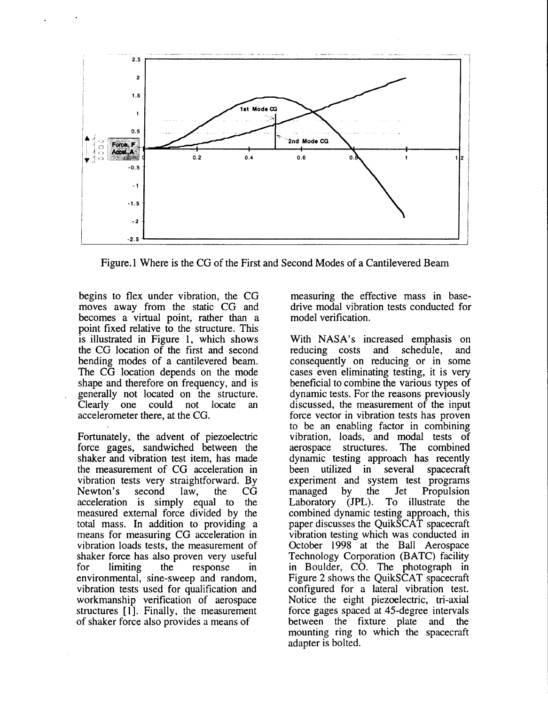

Figure. 1 Where is the CG of the First and Second Modes of a Cantilevered Beam

begins to flex under vibration, the CG moves away from the static CG and becomes a virtual point, rather than a point fixed relative to the structure. This is illustrated in Figure **1,** which shows the CG location of the first and second bending modes of a cantilevered beam. The CG location depends on the mode shape and therefore on frequency, and is generally not located on the structure. Clearly one could not locate an accelerometer there, at the CG.

Fortunately, the advent of piezoelectric force gages, sandwiched between the shaker and vibration test item, has made the measurement of CG acceleration in vibration tests very straightforward. By Newton's second law, the CG acceleration is simply equal to the measured external force divided by the total mass. In addition to providing a means for measuring CG acceleration in vibration loads tests, the measurement of shaker force has also proven very useful for limiting the response in environmental, sine-sweep and random, vibration tests used for qualification and workmanship verification of aerospace structures [1]. Finally, the measurement of shaker force also provides a means of

measuring the effective mass in basedrive modal vibration tests conducted for model verification.

With NASA's increased emphasis on reducing costs and schedule, and reducing costs and schedule, and consequently on reducing or in some cases even eliminating testing, it is very beneficial to combine the various types of dynamic tests. For the reasons previously discussed, the measurement of the input force vector in vibration tests has proven to be an enabling factor in combining vibration, loads, and modal tests of aerospace structures. The combined aerospace structures. dynamic testing approach has recently been utilized in several spacecraft experiment and system test programs<br>managed by the Jet Propulsion managed by the Jet Propulsion Laboratory (JPL). To illustrate the combined dynamic testing approach, this paper discusses the QuikSCAT spacecraft vibration testing which was conducted in October 1998 at the Ball Aerospace Technology Corporation (BATC) facility in Boulder, CO. The photograph in Figure **2** shows the QuikSCAT spacecraft configured for a lateral vibration test. Notice the eight piezoelectric, tri-axial force gages spaced at 45-degree intervals between the fixture plate and the mounting ring to which the spacecraft adapter is bolted.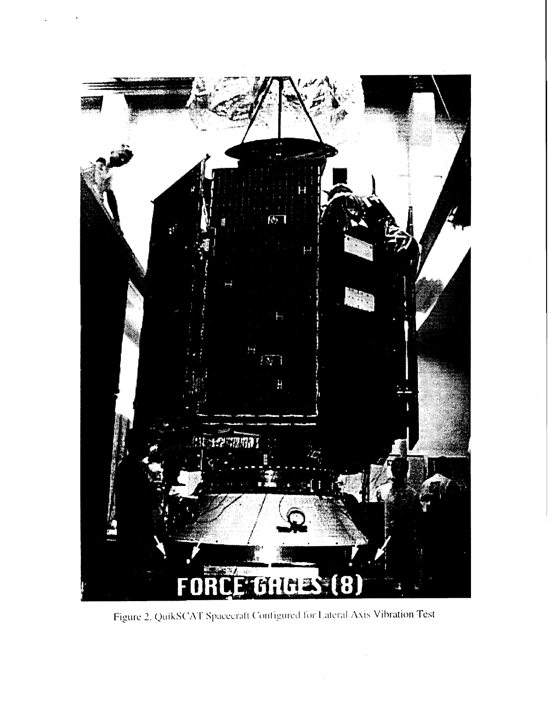

Figure 2. QuikSCAT Spacecraft Configured for Lateral Axis Vibration Test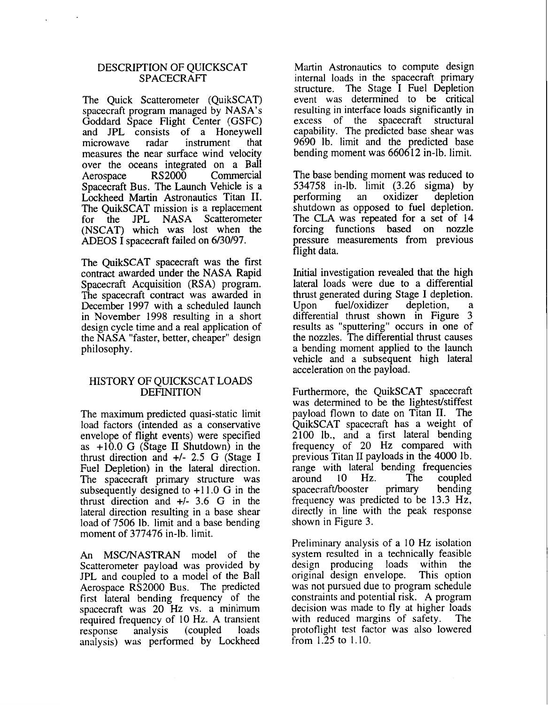## DESCRIPTION OF QUICKSCAT SPACECRAFT

The Quick Scatterometer (QuikSCAT) spacecraft program managed by NASA's Goddard Space Flight Center (GSFC) and JPL consists of a Honeywell<br>microwave radar instrument that microwave measures the near surface wind velocity over the oceans integrated on a Ball<br>Aerospace RS2000 Commercial Commercial Spacecraft Bus. The Launch Vehicle is a Lockheed Martin Astronautics Titan 11. The QuikSCAT mission is a replacement<br>for the JPL NASA Scatterometer the JPL NASA Scatterometer (NSCAT) which was lost when the ADEOS I spacecraft failed on 6/30/97.

The QuikSCAT spacecraft was the first contract awarded under the NASA Rapid Spacecraft Acquisition (RSA) program. The spacecraft contract was awarded in December 1997 with a scheduled launch in November 1998 resulting in a short design cycle time and a real application of the NASA "faster, better, cheaper" design philosophy.

# HISTORY OF QUICKSCAT LOADS DEFINITION

The maximum predicted quasi-static limit load factors (intended as a conservative envelope of flight events) were specified as  $+10.0$  G (Stage II Shutdown) in the thrust direction and +/- 2.5 G (Stage I Fuel Depletion) in the lateral direction. The spacecraft primary structure was subsequently designed to  $+11.0$  G in the thrust direction and +/- 3.6 G in the lateral direction resulting in a base shear load of 7506 Ib. limit and a base bending moment of 377476 in-lb. limit.

**An** MSCNASTRAN model of the Scatterometer payload was provided by JPL and coupled to a model of the Ball Aerospace RS2000 Bus. The predicted first lateral bending frequency of the spacecraft was 20 Hz vs. a minimum required frequency of 10 Hz. A transient<br>response analysis (coupled loads response analysis (coupled loads analysis) was performed by Lockheed Martin Astronautics to compute design internal loads in the spacecraft primary structure. The Stage **I** Fuel Depletion event was determined to be critical resulting in interface loads significantly in excess of the spacecraft structural capability. The predicted base shear was 9690 Ib. limit and the predicted base bending moment was 660612 in-lb. limit.

The base bending moment was reduced to 534758 in-lb. limit (3.26 sigma) by performing an shutdown as opposed to fuel depletion. The CLA was repeated for a set of 14 forcing functions baed on nozzle pressure measurements from previous flight data.

Initial investigation revealed that the high lateral loads were due to a differential thrust generated during Stage I depletion. Upon fuel/oxidizer depletion, a differential thrust shown in Figure 3 results as "sputtering" occurs in one of the nozzles. The differential thrust causes a bending moment applied to the launch vehicle and a subsequent high lateral acceleration on the payload.

Furthermore, the QuikSCAT spacecraft was determined to be the lightest/stiffest payload flown to date on Titan 11. The QuikSCAT spacecraft has a weight of 2100 lb., and a first lateral bending frequency of 20 Hz compared with previous Titan I1 payloads in the 4000 lb. range with lateral bending frequencies<br>around 10 Hz. The coupled 10 Hz. The coupled<br>booster primary bending spacecraft/booster frequency was predicted to be 13.3 Hz, directly in line with the peak response shown in Figure 3.

Preliminary analysis of a 10 Hz isolation system resulted in a technically feasible design producing loads within the original design envelope. This option was not pursued due to program schedule constraints and potential risk. A program decision was made to fly at higher loads with reduced margins of safety. The protoflight est factor was also lowered from 1.25 to 1.10.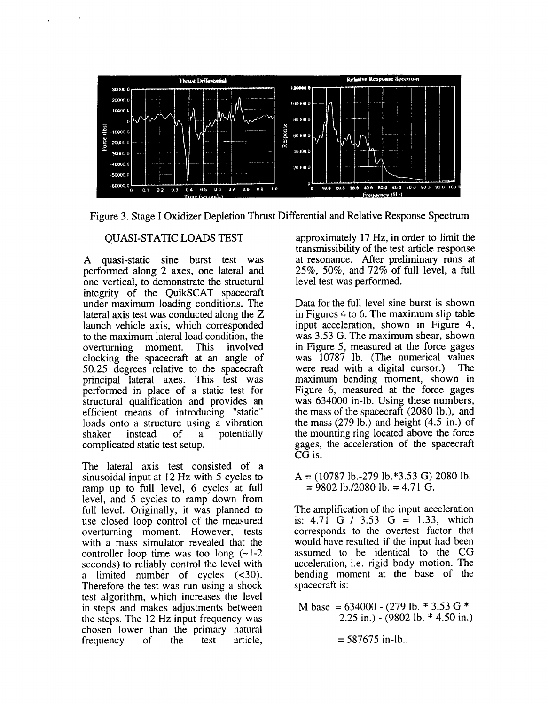



# QUASI-STATIC LOADS TEST

A quasi-static sine burst test was performed along 2 axes, one lateral and one vertical, to demonstrate the structural integrity of the QuikSCAT spacecraft under maximum loading conditions. The lateral axis test was conducted along the Z launch vehicle axis, which corresponded to the maximum lateral load condition, the overturning moment. This involved clocking the spacecraft at an angle of 50.25 degrees relative to the spacecraft principal lateral axes. This test was performed in place of a static test for structural qualification and provides an efficient means of introducing "static" loads onto a structure using a vibration<br>shaker instead of a potentially shaker instead of a potentially complicated static test setup.

The lateral axis test consisted of a sinusoidal input at 12 Hz with 5 cycles to ramp up to full level, 6 cycles at full level, and 5 cycles to ramp down from full level. Originally, it was planned to use closed loop control of the measured overturning moment. However, tests with a mass simulator revealed that the controller loop time was too long  $(-1-2)$ seconds) to reliably control the level with a limited number of cycles (<30). Therefore the test was run using a shock test algorithm, which increases the level in steps and makes adjustments between the steps. The 12 Hz input frequency was chosen lower than the primary natural frequency of the test article,

approximately 17 **Hz,** in order to limit the transmissibility of the test article response at resonance. After preliminary runs at 25%, 50%, and 72% of full level, a full level test was performed.

Data for the full level sine burst is shown in [Figures 4](#page-5-0) to 6. The maximum slip table input acceleration, shown in Figure 4, was 3.53 G. The maximum shear, shown in Figure *5,* measured at the force gages was 10787 lb. (The numerical values were read with a digital cursor.) The maximum bending moment, shown in Figure 6, measured at he force gages was 634000 in-lb. Using these numbers, the mass of the spacecraft (2080 lb.), and the mass  $(279 \text{ lb.})$  and height  $(4.5 \text{ in.})$  of the mounting ring located above the force gages, the acceleration of the spacecraft CG is:

A = (10787 1b.-279 1b.\*3.53 G) 2080 lb. = 9802 lb./2080 lb. = 4.7 **1** G.

The amplification of the input acceleration is: 4.71 G *I* 3.53 G = 1.33, which corresponds to the overtest factor that would have resulted if the input had been assumed to be identical to the CG acceleration, i.e. rigid body motion. The bending moment at the base of the spacecraft is:

M base =  $634000 - (279 \text{ lb.} * 3.53 \text{ G} *$ 2.25 in.) - (9802 Ib. \* 4.50 in.)

 $= 587675$  in-lb.,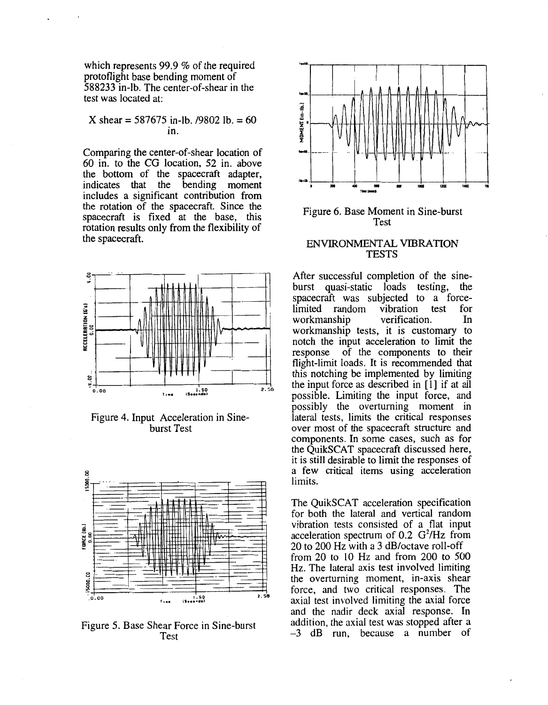<span id="page-5-0"></span>which represents 99.9 % of the required protoflight base bending moment of 588233 in-lb. The center-of-shear in the test was located at:

$$
X \text{ shear} = 587675 \text{ in-lb.}/9802 \text{ lb.} = 60
$$
  
in.

Comparing the center-of-shear location of 60 in. to the CG location, 52 in. above the bottom of the spacecraft adapter, indicates that the bending moment includes a significant contribution from the rotation of the spacecraft. Since the spacecraft is fixed at the base, this rotation results only from the flexibility of the spacecraft.



Figure **4.** Input Acceleration in Sineburst Test



Figure 5. Base Shear Force in Sine-burst Test



Figure 6. Base Moment in Sine-burst Test

### ENVIRONMENTAL VIBRATION **TESTS**

After successful completion of the sineburst quasi-static loads testing, the spacecraft was subjected to a force-<br>limited random vibration test for limited random vibration test for<br>workmanship verification. In workmanship workmanship tests, it is customary to notch the input acceleration to limit the response of the components to their flight-limit loads. It is recommended that this notching be implemented by limiting the input force as described in [ 11 if at all possible. Limiting the input force, and possibly the overturning moment in lateral tests, limits the critical responses over most of the spacecraft structure and components. In some cases, such as for the QuikSCAT spacecraft discussed here, it is still desirable to limit the responses of a few critical items using acceleration limits.

The QuikSCAT acceleration specification for both the lateral and vertical random vibration tests consisted of a flat input acceleration spectrum of  $0.2$  G<sup>2</sup>/Hz from 20 to 200 Hz with a 3 dB/octave roll-off from 20 to 10 Hz and from 200 to 500 Hz. The lateral axis test involved limiting the overturning moment, in-axis shear force, and two critical responses. The axial test involved limiting the axial force and the nadir deck axial response. In addition, the axial test was stopped after a -3 dB run, because a number of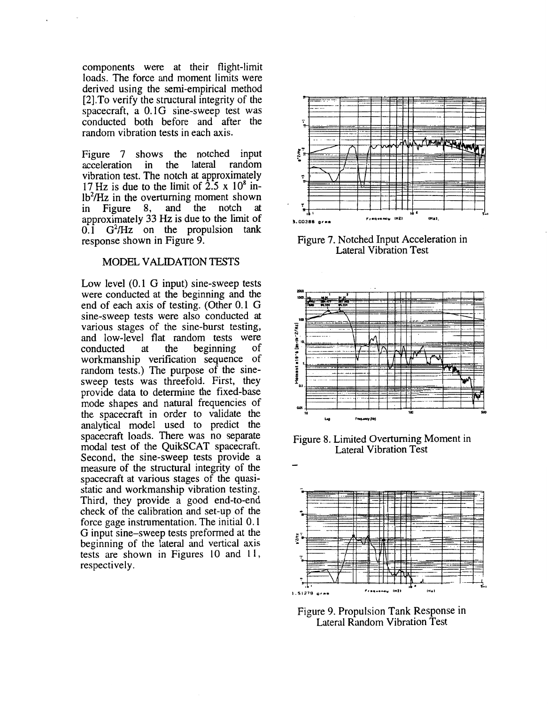components were at their flight-limit loads. The force and moment limits were derived using the semi-empirical method [2].To verify the structural integrity of the spacecraft, a 0.1G sine-sweep test was conducted both before and after the random vibration tests in each axis.

Figure 7 shows the notched input acceleration in the lateral random vibration test. The notch at approximately 17 Hz is due to the limit of  $2.5 \times 10^8$  in- $1b^2$ /Hz in the overturning moment shown<br>in Figure 8, and the notch at 8, and the notch approximately **33 Hz** is due to the limit of  $0.\overline{1}$   $G^2$ /Hz on the propulsion tank response shown in Figure 9.

## MODEL VALIDATION TESTS

Low level (0.1 G input) sine-sweep tests were conducted at the beginning and the end of each axis of testing. (Other 0.1 G sine-sweep tests were also conducted at various stages of the sine-burst testing, and low-level flat random tests were<br>conducted at the beginning of conducted at the beginning of workmanship verification sequence of random tests.) The purpose of the sinesweep tests was threefold. First, they provide data to determine the fixed-base mode shapes and natural frequencies of the spacecraft in order to validate the analytical model used to predict the spacecraft loads. There was no separate modal test of the QuikSCAT spacecraft. Second, the sine-sweep tests provide a measure of the structural integrity of the spacecraft at various stages of the quasistatic and workmanship vibration testing. Third, they provide a good end-to-end check of the calibration and set-up of the force gage instrumentation. The initial 0.1 G input sine-sweep tests preformed at the beginning of the lateral and vertical axis tests are shown in [Figures 10](#page-7-0) and 11, respectively.



Figure 7. Notched Input Acceleration in Lateral Vibration Test



Figure **8.** Limited Overturning Moment in Lateral Vibration Test



Figure 9. Propulsion Tank Response in Lateral Random Vibration Test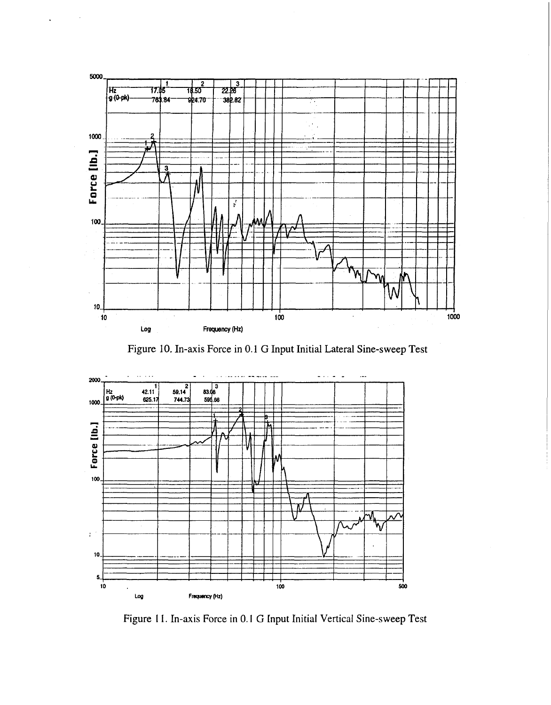<span id="page-7-0"></span>





Figure I I. In-axis Force in 0. I G Input Initial Vertical Sine-sweep Test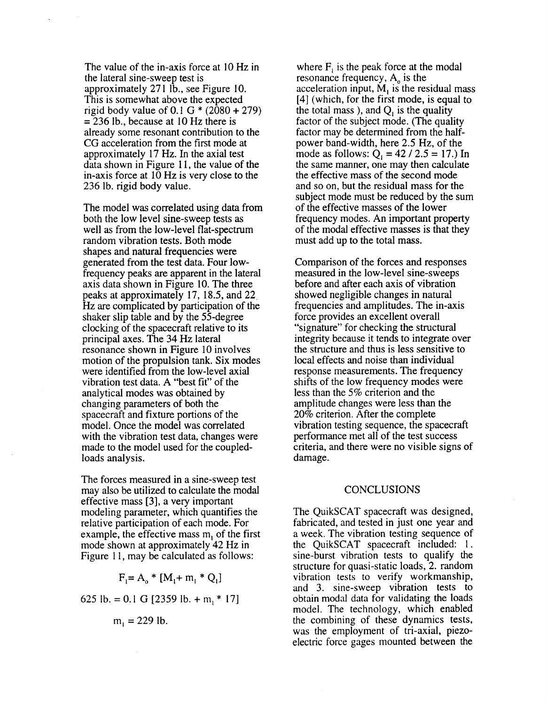The value of the in-axis force at 10 Hz in the lateral sine-sweep test is approximately 27 1 Ib., see [Figure 10.](#page-7-0) This is somewhat above the expected rigid body value of 0.1 G  $*$  (2080 + 279)  $= 236$  lb., because at 10 Hz there is already some resonant contribution to the CG acceleration from the first mode at approximately 17 Hz. In the axial test data shown in Figure **11,** the value of the in-axis force at  $10$  Hz is very close to the 236 lb. rigid body value.

The model was correlated using data from both the low level sine-sweep tests as well as from the low-level flat-spectrum random vibration tests. Both mode shapes and natural frequencies were generated from the test data. Four lowfrequency peaks are apparent in the lateral axis data shown in [Figure 10.](#page-7-0) The three peaks at approximately 17, 18.5, and 22. Hz are complicated by participation of the shaker slip table and by the 55-degree clocking of the spacecraft relative to its principal axes. The 34 Hz lateral resonance shown in [Figure 10](#page-7-0) involves motion of the propulsion tank. Six modes were identified from the low-level axial vibration test data. A "best fit" of the analytical modes was obtained by changing parameters of both the spacecraft and fixture portions of the model. Once the model was correlated with the vibration test data, changes were made to the model used for the coupledloads analysis.

The forces measured in a sine-sweep test may also be utilized to calculate the modal effective mass **[3],** a very important modeling parameter, which quantifies the relative participation of each mode. For example, the effective mass m, of the first mode shown at approximately 42 Hz in Figure **1** 1, may be calculated as follows:

$$
F_1 = A_0 * [M_1 + m_1 * Q_1]
$$

625 lb. = 0.1 G [2359 lb. + m<sub>1</sub> \* 17]

$$
m_1 = 229
$$
 lb.

where F, is the peak force at the modal resonance frequency, A, is the acceleration input,  $M<sub>1</sub>$  is the residual mass [4] (which, for the first mode, is equal to the total mass), and  $Q_i$  is the quality factor of the subject mode. (The quality factor may be determined from the halfpower band-width, here 2.5 Hz, of the mode as follows:  $Q_1 = 42 / 2.5 = 17.$ ) In the same manner, one may then calculate the effective mass of the second mode and so on, but the residual mass for the subject mode must be reduced by the sum of the effective masses of the lower frequency modes. An important property of the modal effective masses is that they must add up to the total mass.

Comparison of the forces and responses measured in the low-level sine-sweeps before and after each axis of vibration showed negligible changes in natural frequencies and amplitudes. The in-axis force provides an excellent overall "signature" for checking the structural integrity because it tends to integrate over the structure and thus is less sensitive to local effects and noise than individual response measurements. The frequency shifts of the low frequency modes were less than the 5% criterion and the amplitude changes were less than the 20% criterion. After the complete vibration testing sequence, the spacecraft performance met all of the test success criteria, and there were no visible signs of damage.

## CONCLUSIONS

The QuikSCAT spacecraft was designed, fabricated, and tested in just one year and a week. The vibration testing sequence of the QuikSCAT spacecraft included: 1. sine-burst vibration tests to qualify the structure for quasi-static loads, 2. random vibration tests to verify workmanship, and 3. sine-sweep vibration tests to obtain modal data for validating the loads model. The technology, which enabled the combining of these dynamics tests, was the employment of tri-axial, piezoelectric force gages mounted between the